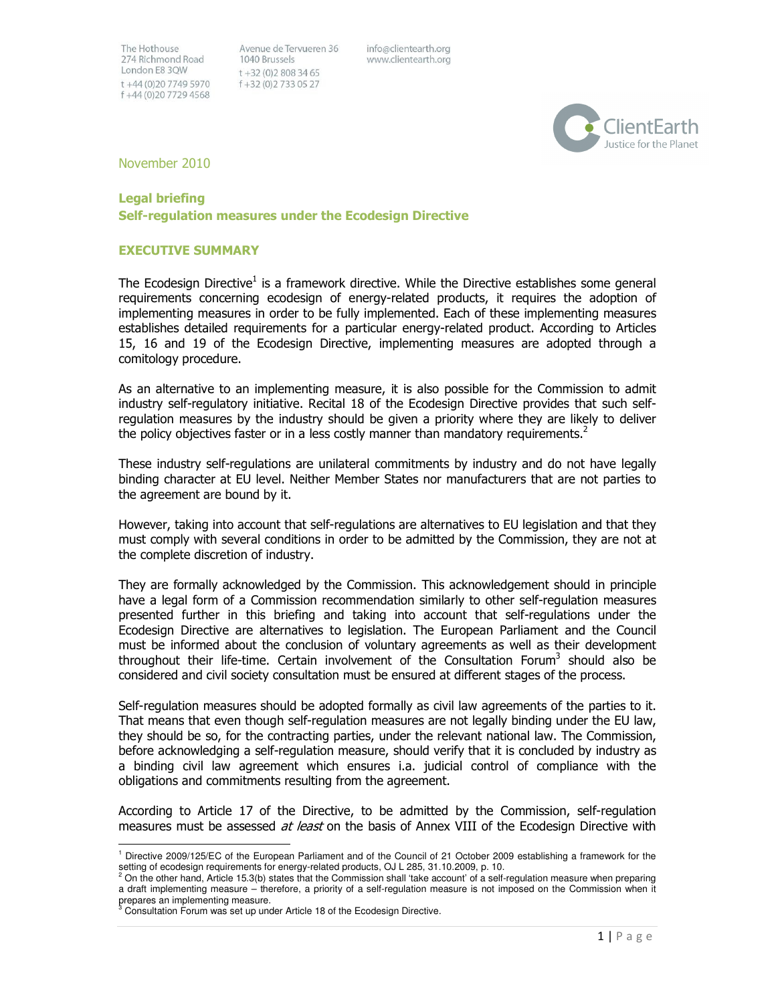Avenue de Tervueren 36 1040 Brussels  $t + 32(0)28083465$ f +32 (0) 2 7 3 3 0 5 2 7

info@clientearth.org www.clientearth.org



November 2010

# Legal briefing

Self-regulation measures under the Ecodesign Directive

#### EXECUTIVE SUMMARY

The Ecodesign Directive<sup>1</sup> is a framework directive. While the Directive establishes some general requirements concerning ecodesign of energy-related products, it requires the adoption of implementing measures in order to be fully implemented. Each of these implementing measures establishes detailed requirements for a particular energy-related product. According to Articles 15, 16 and 19 of the Ecodesign Directive, implementing measures are adopted through a comitology procedure.

As an alternative to an implementing measure, it is also possible for the Commission to admit industry self-regulatory initiative. Recital 18 of the Ecodesign Directive provides that such selfregulation measures by the industry should be given a priority where they are likely to deliver the policy objectives faster or in a less costly manner than mandatory requirements.<sup>2</sup>

These industry self-regulations are unilateral commitments by industry and do not have legally binding character at EU level. Neither Member States nor manufacturers that are not parties to the agreement are bound by it.

However, taking into account that self-regulations are alternatives to EU legislation and that they must comply with several conditions in order to be admitted by the Commission, they are not at the complete discretion of industry.

They are formally acknowledged by the Commission. This acknowledgement should in principle have a legal form of a Commission recommendation similarly to other self-regulation measures presented further in this briefing and taking into account that self-regulations under the Ecodesign Directive are alternatives to legislation. The European Parliament and the Council must be informed about the conclusion of voluntary agreements as well as their development throughout their life-time. Certain involvement of the Consultation Forum<sup>3</sup> should also be considered and civil society consultation must be ensured at different stages of the process.

Self-regulation measures should be adopted formally as civil law agreements of the parties to it. That means that even though self-regulation measures are not legally binding under the EU law, they should be so, for the contracting parties, under the relevant national law. The Commission, before acknowledging a self-regulation measure, should verify that it is concluded by industry as a binding civil law agreement which ensures i.a. judicial control of compliance with the obligations and commitments resulting from the agreement.

According to Article 17 of the Directive, to be admitted by the Commission, self-regulation measures must be assessed at least on the basis of Annex VIII of the Ecodesign Directive with

 1 Directive 2009/125/EC of the European Parliament and of the Council of 21 October 2009 establishing a framework for the setting of ecodesign requirements for energy-related products, OJ L 285, 31.10.2009, p. 10.

<sup>2</sup> On the other hand, Article 15.3(b) states that the Commission shall 'take account' of a self-regulation measure when preparing a draft implementing measure – therefore, a priority of a self-regulation measure is not imposed on the Commission when it prepares an implementing measure.<br><sup>3</sup> Consultation Forum was est up und

Consultation Forum was set up under Article 18 of the Ecodesign Directive.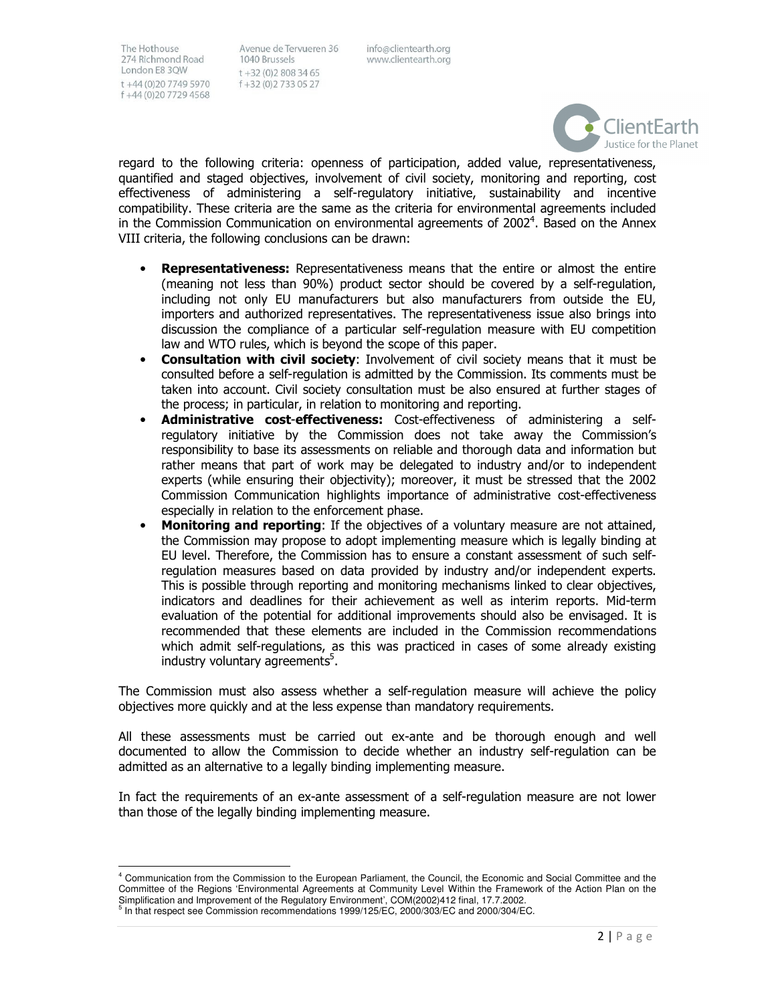l,

Avenue de Tervueren 36 1040 Brussels  $t + 32(0)28083465$ f+32 (0)2733 05 27

info@clientearth.org www.clientearth.org



regard to the following criteria: openness of participation, added value, representativeness, quantified and staged objectives, involvement of civil society, monitoring and reporting, cost effectiveness of administering a self-regulatory initiative, sustainability and incentive compatibility. These criteria are the same as the criteria for environmental agreements included in the Commission Communication on environmental agreements of 2002<sup>4</sup>. Based on the Annex VIII criteria, the following conclusions can be drawn:

- Representativeness: Representativeness means that the entire or almost the entire (meaning not less than 90%) product sector should be covered by a self-regulation, including not only EU manufacturers but also manufacturers from outside the EU, importers and authorized representatives. The representativeness issue also brings into discussion the compliance of a particular self-regulation measure with EU competition law and WTO rules, which is beyond the scope of this paper.
- Consultation with civil society: Involvement of civil society means that it must be consulted before a self-regulation is admitted by the Commission. Its comments must be taken into account. Civil society consultation must be also ensured at further stages of the process; in particular, in relation to monitoring and reporting.
- Administrative cost-effectiveness: Cost-effectiveness of administering a selfregulatory initiative by the Commission does not take away the Commission's responsibility to base its assessments on reliable and thorough data and information but rather means that part of work may be delegated to industry and/or to independent experts (while ensuring their objectivity); moreover, it must be stressed that the 2002 Commission Communication highlights importance of administrative cost-effectiveness especially in relation to the enforcement phase.
- Monitoring and reporting: If the objectives of a voluntary measure are not attained, the Commission may propose to adopt implementing measure which is legally binding at EU level. Therefore, the Commission has to ensure a constant assessment of such selfregulation measures based on data provided by industry and/or independent experts. This is possible through reporting and monitoring mechanisms linked to clear objectives, indicators and deadlines for their achievement as well as interim reports. Mid-term evaluation of the potential for additional improvements should also be envisaged. It is recommended that these elements are included in the Commission recommendations which admit self-regulations, as this was practiced in cases of some already existing industry voluntary agreements<sup>5</sup>.

The Commission must also assess whether a self-regulation measure will achieve the policy objectives more quickly and at the less expense than mandatory requirements.

All these assessments must be carried out ex-ante and be thorough enough and well documented to allow the Commission to decide whether an industry self-regulation can be admitted as an alternative to a legally binding implementing measure.

In fact the requirements of an ex-ante assessment of a self-regulation measure are not lower than those of the legally binding implementing measure.

<sup>4</sup> Communication from the Commission to the European Parliament, the Council, the Economic and Social Committee and the Committee of the Regions 'Environmental Agreements at Community Level Within the Framework of the Action Plan on the Simplification and Improvement of the Regulatory Environment', COM(2002)412 final, 17.7.2002.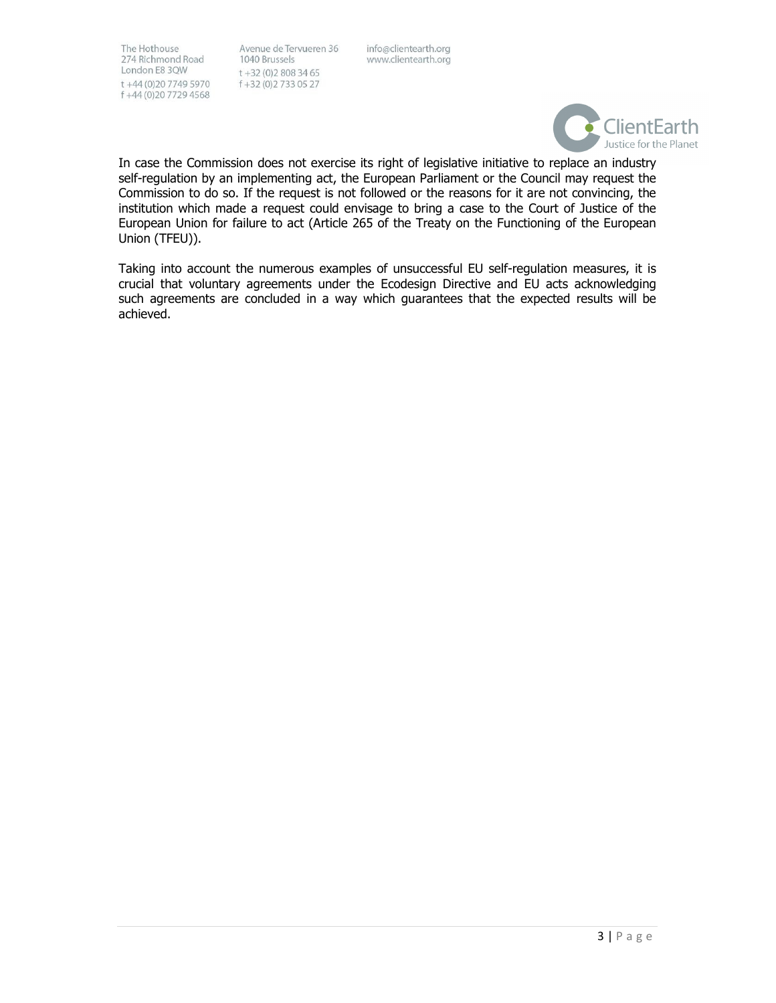Avenue de Tervueren 36 1040 Brussels  $t + 32(0)28083465$ f+32 (0) 2733 05 27

info@clientearth.org www.clientearth.org



In case the Commission does not exercise its right of legislative initiative to replace an industry self-regulation by an implementing act, the European Parliament or the Council may request the Commission to do so. If the request is not followed or the reasons for it are not convincing, the institution which made a request could envisage to bring a case to the Court of Justice of the European Union for failure to act (Article 265 of the Treaty on the Functioning of the European Union (TFEU)).

Taking into account the numerous examples of unsuccessful EU self-regulation measures, it is crucial that voluntary agreements under the Ecodesign Directive and EU acts acknowledging such agreements are concluded in a way which guarantees that the expected results will be achieved.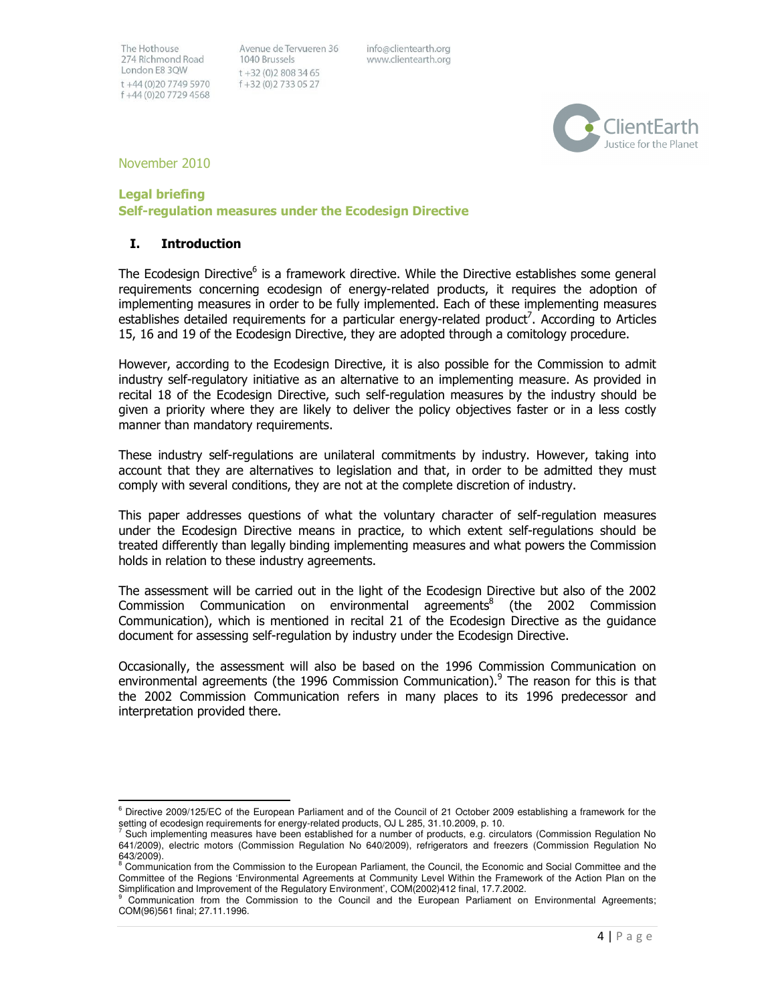Avenue de Tervueren 36 1040 Brussels  $t + 32(0)28083465$ f+32 (0)2733 05 27

info@clientearth.org www.clientearth.org



November 2010

#### Legal briefing

 $\overline{a}$ 

Self-regulation measures under the Ecodesign Directive

#### I. Introduction

The Ecodesign Directive<sup>6</sup> is a framework directive. While the Directive establishes some general requirements concerning ecodesign of energy-related products, it requires the adoption of implementing measures in order to be fully implemented. Each of these implementing measures establishes detailed requirements for a particular energy-related product<sup>7</sup>. According to Articles 15, 16 and 19 of the Ecodesign Directive, they are adopted through a comitology procedure.

However, according to the Ecodesign Directive, it is also possible for the Commission to admit industry self-regulatory initiative as an alternative to an implementing measure. As provided in recital 18 of the Ecodesign Directive, such self-regulation measures by the industry should be given a priority where they are likely to deliver the policy objectives faster or in a less costly manner than mandatory requirements.

These industry self-regulations are unilateral commitments by industry. However, taking into account that they are alternatives to legislation and that, in order to be admitted they must comply with several conditions, they are not at the complete discretion of industry.

This paper addresses questions of what the voluntary character of self-regulation measures under the Ecodesign Directive means in practice, to which extent self-regulations should be treated differently than legally binding implementing measures and what powers the Commission holds in relation to these industry agreements.

The assessment will be carried out in the light of the Ecodesign Directive but also of the 2002 Commission Communication on environmental agreements<sup>8</sup> (the 2002 Commission Communication), which is mentioned in recital 21 of the Ecodesign Directive as the guidance document for assessing self-regulation by industry under the Ecodesign Directive.

Occasionally, the assessment will also be based on the 1996 Commission Communication on environmental agreements (the 1996 Commission Communication).<sup>9</sup> The reason for this is that the 2002 Commission Communication refers in many places to its 1996 predecessor and interpretation provided there.

<sup>6</sup> Directive 2009/125/EC of the European Parliament and of the Council of 21 October 2009 establishing a framework for the setting of ecodesign requirements for energy-related products, OJ L 285, 31.10.2009, p. 10.

<sup>7</sup> Such implementing measures have been established for a number of products, e.g. circulators (Commission Regulation No 641/2009), electric motors (Commission Regulation No 640/2009), refrigerators and freezers (Commission Regulation No 643/2009).

<sup>&</sup>lt;sup>8</sup> Communication from the Commission to the European Parliament, the Council, the Economic and Social Committee and the Committee of the Regions 'Environmental Agreements at Community Level Within the Framework of the Action Plan on the Simplification and Improvement of the Regulatory Environment', COM(2002)412 final, 17.7.2002.<br>9 Communication, from the Commission to the Council and the European Barliament, on

Communication from the Commission to the Council and the European Parliament on Environmental Agreements; COM(96)561 final; 27.11.1996.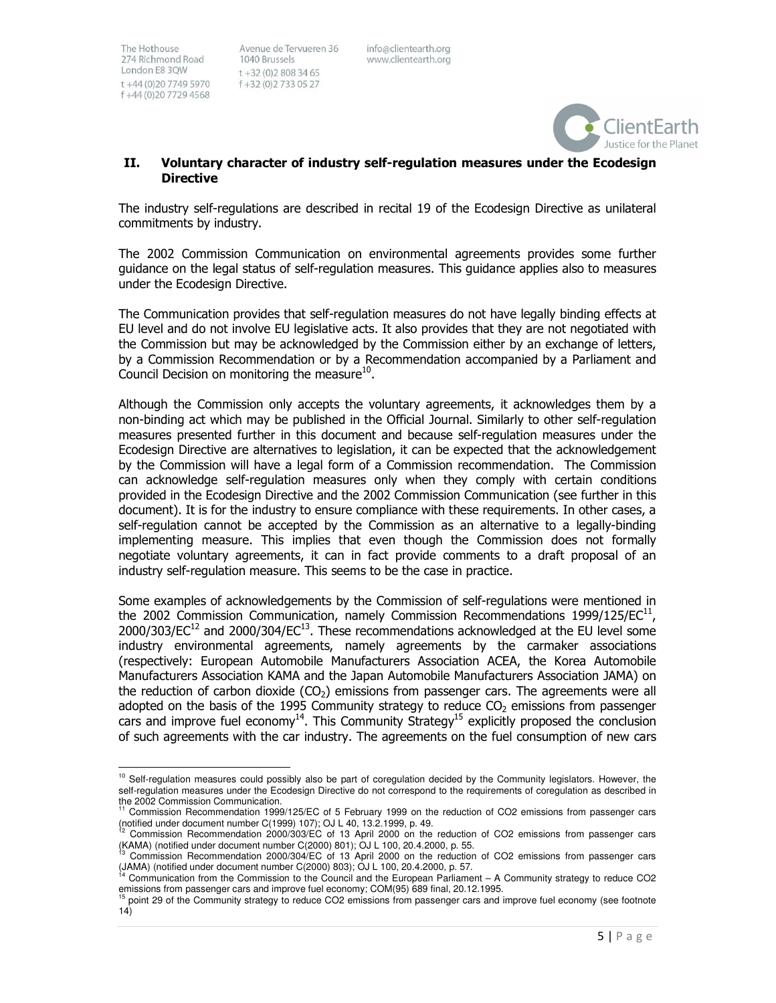1

Avenue de Tervueren 36 1040 Brussels  $t + 32(0)28083465$ f+32 (0)2733 05 27

info@clientearth.org www.clientearth.org



#### II. Voluntary character of industry self-regulation measures under the Ecodesign **Directive**

The industry self-regulations are described in recital 19 of the Ecodesign Directive as unilateral commitments by industry.

The 2002 Commission Communication on environmental agreements provides some further guidance on the legal status of self-regulation measures. This guidance applies also to measures under the Ecodesign Directive.

The Communication provides that self-regulation measures do not have legally binding effects at EU level and do not involve EU legislative acts. It also provides that they are not negotiated with the Commission but may be acknowledged by the Commission either by an exchange of letters, by a Commission Recommendation or by a Recommendation accompanied by a Parliament and Council Decision on monitoring the measure<sup>10</sup>.

Although the Commission only accepts the voluntary agreements, it acknowledges them by a non-binding act which may be published in the Official Journal. Similarly to other self-regulation measures presented further in this document and because self-regulation measures under the Ecodesign Directive are alternatives to legislation, it can be expected that the acknowledgement by the Commission will have a legal form of a Commission recommendation. The Commission can acknowledge self-regulation measures only when they comply with certain conditions provided in the Ecodesign Directive and the 2002 Commission Communication (see further in this document). It is for the industry to ensure compliance with these requirements. In other cases, a self-regulation cannot be accepted by the Commission as an alternative to a legally-binding implementing measure. This implies that even though the Commission does not formally negotiate voluntary agreements, it can in fact provide comments to a draft proposal of an industry self-regulation measure. This seems to be the case in practice.

Some examples of acknowledgements by the Commission of self-regulations were mentioned in the 2002 Commission Communication, namely Commission Recommendations 1999/125/EC $^{11}$ ,  $2000/303/EC^{12}$  and  $2000/304/EC^{13}$ . These recommendations acknowledged at the EU level some industry environmental agreements, namely agreements by the carmaker associations (respectively: European Automobile Manufacturers Association ACEA, the Korea Automobile Manufacturers Association KAMA and the Japan Automobile Manufacturers Association JAMA) on the reduction of carbon dioxide  $(CO<sub>2</sub>)$  emissions from passenger cars. The agreements were all adopted on the basis of the 1995 Community strategy to reduce  $CO<sub>2</sub>$  emissions from passenger cars and improve fuel economy<sup>14</sup>. This Community Strategy<sup>15</sup> explicitly proposed the conclusion of such agreements with the car industry. The agreements on the fuel consumption of new cars

 $10$  Self-regulation measures could possibly also be part of coregulation decided by the Community legislators. However, the self-regulation measures under the Ecodesign Directive do not correspond to the requirements of coregulation as described in the 2002 Commission Communication.

<sup>&</sup>lt;sup>11</sup> Commission Recommendation 1999/125/EC of 5 February 1999 on the reduction of CO2 emissions from passenger cars (notified under document number C(1999) 107); OJ L 40, 13.2.1999, p. 49.

<sup>12</sup> Commission Recommendation 2000/303/EC of 13 April 2000 on the reduction of CO2 emissions from passenger cars (KAMA) (notified under document number C(2000) 801); OJ L 100, 20.4.2000, p. 55.

<sup>13</sup> Commission Recommendation 2000/304/EC of 13 April 2000 on the reduction of CO2 emissions from passenger cars (JAMA) (notified under document number C(2000) 803); OJ L 100, 20.4.2000, p. 57.

<sup>14</sup> Communication from the Commission to the Council and the European Parliament – A Community strategy to reduce CO2 emissions from passenger cars and improve fuel economy; COM(95) 689 final, 20.12.1995.

<sup>15</sup> point 29 of the Community strategy to reduce CO2 emissions from passenger cars and improve fuel economy (see footnote 14)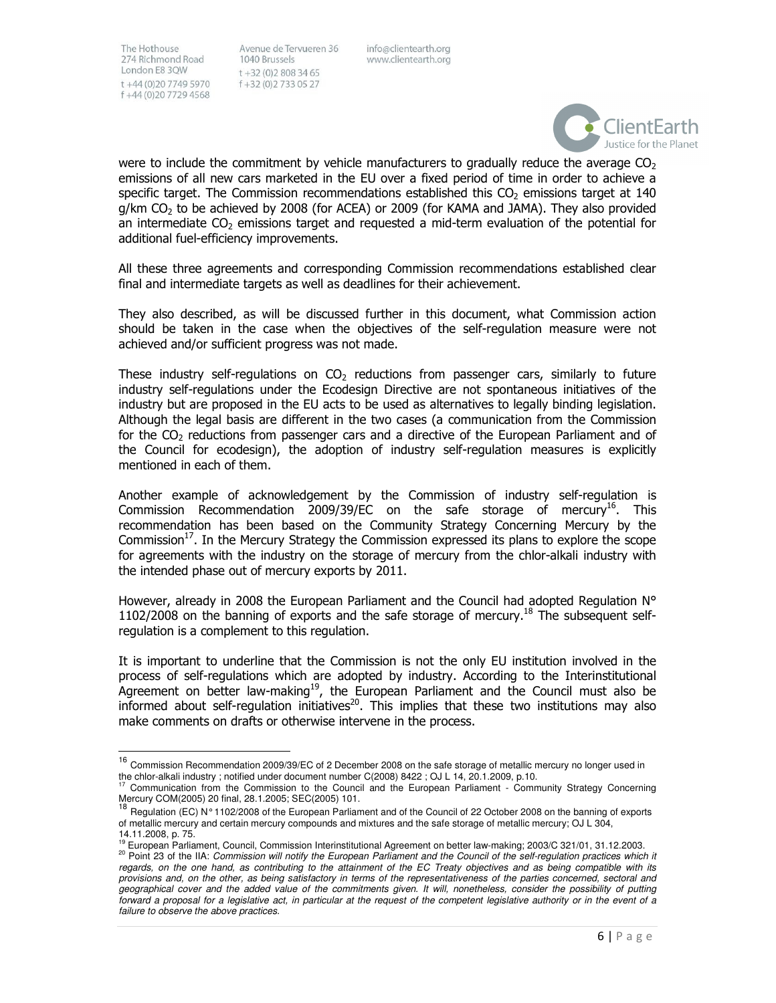l,

Avenue de Tervueren 36 1040 Brussels  $t + 32(0)28083465$ f +32 (0) 2 7 3 3 0 5 2 7

info@clientearth.org www.clientearth.org



were to include the commitment by vehicle manufacturers to gradually reduce the average  $CO<sub>2</sub>$ emissions of all new cars marketed in the EU over a fixed period of time in order to achieve a specific target. The Commission recommendations established this  $CO<sub>2</sub>$  emissions target at 140  $g/km$  CO<sub>2</sub> to be achieved by 2008 (for ACEA) or 2009 (for KAMA and JAMA). They also provided an intermediate  $CO<sub>2</sub>$  emissions target and requested a mid-term evaluation of the potential for additional fuel-efficiency improvements.

All these three agreements and corresponding Commission recommendations established clear final and intermediate targets as well as deadlines for their achievement.

They also described, as will be discussed further in this document, what Commission action should be taken in the case when the objectives of the self-regulation measure were not achieved and/or sufficient progress was not made.

These industry self-regulations on  $CO<sub>2</sub>$  reductions from passenger cars, similarly to future industry self-regulations under the Ecodesign Directive are not spontaneous initiatives of the industry but are proposed in the EU acts to be used as alternatives to legally binding legislation. Although the legal basis are different in the two cases (a communication from the Commission for the CO<sub>2</sub> reductions from passenger cars and a directive of the European Parliament and of the Council for ecodesign), the adoption of industry self-regulation measures is explicitly mentioned in each of them.

Another example of acknowledgement by the Commission of industry self-regulation is Commission Recommendation 2009/39/EC on the safe storage of mercury<sup>16</sup>. This recommendation has been based on the Community Strategy Concerning Mercury by the Commission<sup>17</sup>. In the Mercury Strategy the Commission expressed its plans to explore the scope for agreements with the industry on the storage of mercury from the chlor-alkali industry with the intended phase out of mercury exports by 2011.

However, already in 2008 the European Parliament and the Council had adopted Regulation N°  $1102/2008$  on the banning of exports and the safe storage of mercury.<sup>18</sup> The subsequent selfregulation is a complement to this regulation.

It is important to underline that the Commission is not the only EU institution involved in the process of self-regulations which are adopted by industry. According to the Interinstitutional Agreement on better law-making<sup>19</sup>, the European Parliament and the Council must also be informed about self-regulation initiatives<sup>20</sup>. This implies that these two institutions may also make comments on drafts or otherwise intervene in the process.

<sup>&</sup>lt;sup>16</sup> Commission Recommendation 2009/39/EC of 2 December 2008 on the safe storage of metallic mercury no longer used in the chlor-alkali industry ; notified under document number C(2008) 8422 ; OJ L 14, 20.1.2009, p.10.

Communication from the Commission to the Council and the European Parliament - Community Strategy Concerning Mercury COM(2005) 20 final, 28.1.2005; SEC(2005) 101.

<sup>18</sup> Regulation (EC) N° 1102/2008 of the European Parliament and of the Council of 22 October 2008 on the banning of exports of metallic mercury and certain mercury compounds and mixtures and the safe storage of metallic mercury; OJ L 304, 14.11.2008, p. 75.

<sup>19</sup> European Parliament, Council, Commission Interinstitutional Agreement on better law-making; 2003/C 321/01, 31.12.2003.

<sup>&</sup>lt;sup>20</sup> Point 23 of the IIA: Commission will notify the European Parliament and the Council of the self-regulation practices which it regards, on the one hand, as contributing to the attainment of the EC Treaty objectives and as being compatible with its provisions and, on the other, as being satisfactory in terms of the representativeness of the parties concerned, sectoral and geographical cover and the added value of the commitments given. It will, nonetheless, consider the possibility of putting forward a proposal for a legislative act, in particular at the request of the competent legislative authority or in the event of a failure to observe the above practices.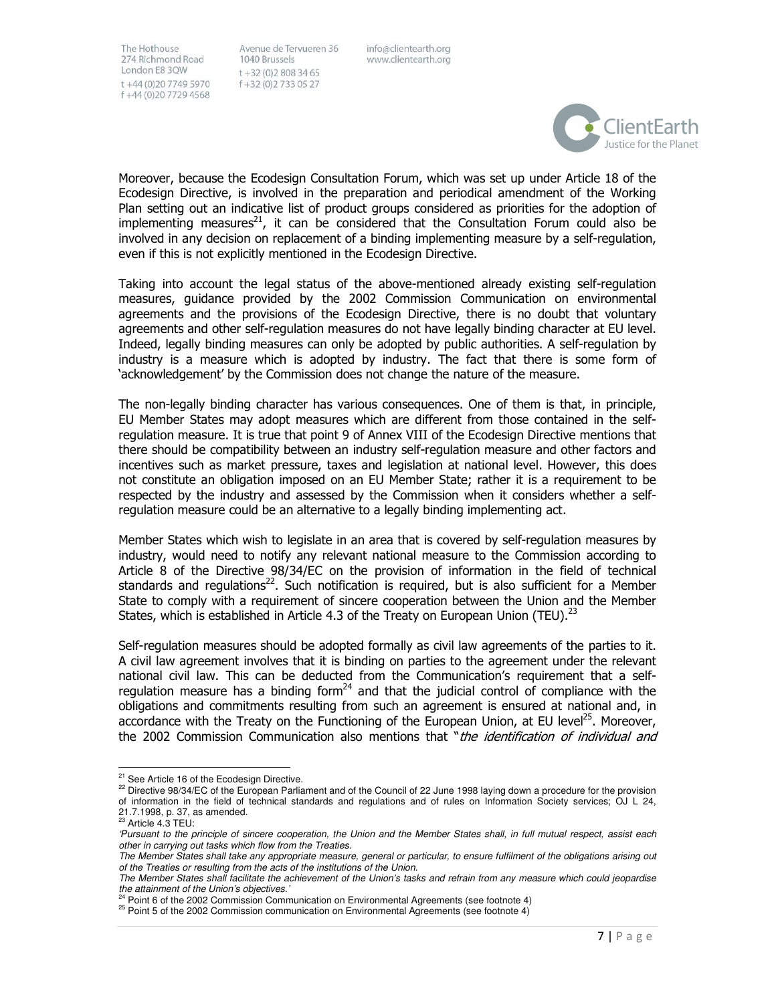Avenue de Tervueren 36 1040 Brussels  $t + 32(0)28083465$ f+32 (0)2733 05 27

info@clientearth.org www.clientearth.org



Moreover, because the Ecodesign Consultation Forum, which was set up under Article 18 of the Ecodesign Directive, is involved in the preparation and periodical amendment of the Working Plan setting out an indicative list of product groups considered as priorities for the adoption of implementing measures<sup>21</sup>, it can be considered that the Consultation Forum could also be involved in any decision on replacement of a binding implementing measure by a self-regulation, even if this is not explicitly mentioned in the Ecodesign Directive.

Taking into account the legal status of the above-mentioned already existing self-regulation measures, guidance provided by the 2002 Commission Communication on environmental agreements and the provisions of the Ecodesign Directive, there is no doubt that voluntary agreements and other self-regulation measures do not have legally binding character at EU level. Indeed, legally binding measures can only be adopted by public authorities. A self-regulation by industry is a measure which is adopted by industry. The fact that there is some form of 'acknowledgement' by the Commission does not change the nature of the measure.

The non-legally binding character has various consequences. One of them is that, in principle, EU Member States may adopt measures which are different from those contained in the selfregulation measure. It is true that point 9 of Annex VIII of the Ecodesign Directive mentions that there should be compatibility between an industry self-regulation measure and other factors and incentives such as market pressure, taxes and legislation at national level. However, this does not constitute an obligation imposed on an EU Member State; rather it is a requirement to be respected by the industry and assessed by the Commission when it considers whether a selfregulation measure could be an alternative to a legally binding implementing act.

Member States which wish to legislate in an area that is covered by self-regulation measures by industry, would need to notify any relevant national measure to the Commission according to Article 8 of the Directive 98/34/EC on the provision of information in the field of technical standards and regulations<sup>22</sup>. Such notification is required, but is also sufficient for a Member State to comply with a requirement of sincere cooperation between the Union and the Member States, which is established in Article 4.3 of the Treaty on European Union (TEU).<sup>23</sup>

Self-regulation measures should be adopted formally as civil law agreements of the parties to it. A civil law agreement involves that it is binding on parties to the agreement under the relevant national civil law. This can be deducted from the Communication's requirement that a selfregulation measure has a binding form<sup>24</sup> and that the judicial control of compliance with the obligations and commitments resulting from such an agreement is ensured at national and, in accordance with the Treaty on the Functioning of the European Union, at EU level<sup>25</sup>. Moreover, the 2002 Commission Communication also mentions that "*the identification of individual and* 

<sup>1</sup> <sup>21</sup> See Article 16 of the Ecodesign Directive.

 $22$  Directive 98/34/EC of the European Parliament and of the Council of 22 June 1998 laying down a procedure for the provision of information in the field of technical standards and regulations and of rules on Information Society services; OJ L 24, 21.7.1998, p. 37, as amended.<br><sup>23</sup> Article 4.3 TEU:

<sup>&#</sup>x27;Pursuant to the principle of sincere cooperation, the Union and the Member States shall, in full mutual respect, assist each other in carrying out tasks which flow from the Treaties.

The Member States shall take any appropriate measure, general or particular, to ensure fulfilment of the obligations arising out of the Treaties or resulting from the acts of the institutions of the Union.

The Member States shall facilitate the achievement of the Union's tasks and refrain from any measure which could jeopardise the attainment of the Union's objectives.'

Point 6 of the 2002 Commission Communication on Environmental Agreements (see footnote 4)

 $25$  Point 5 of the 2002 Commission communication on Environmental Agreements (see footnote 4)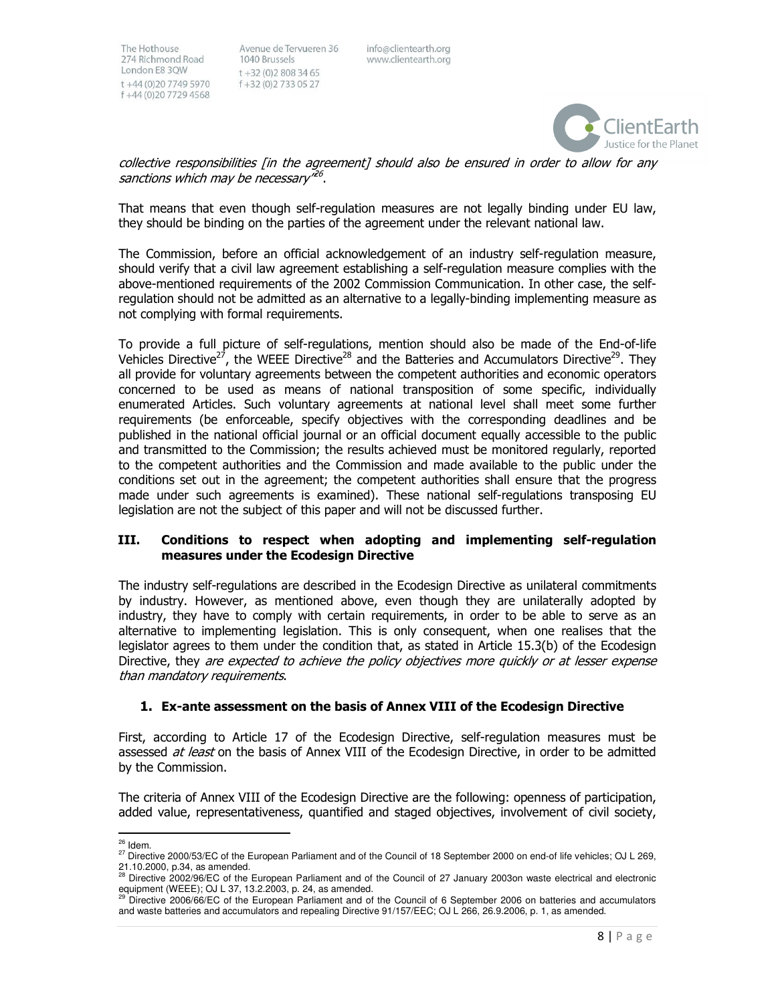Avenue de Tervueren 36 1040 Brussels  $t + 32(0)28083465$ f+32 (0)2733 05 27

info@clientearth.org www.clientearth.org



collective responsibilities [in the agreement] should also be ensured in order to allow for any sanctions which may be necessary"<sup>26</sup>.

That means that even though self-regulation measures are not legally binding under EU law, they should be binding on the parties of the agreement under the relevant national law.

The Commission, before an official acknowledgement of an industry self-regulation measure, should verify that a civil law agreement establishing a self-regulation measure complies with the above-mentioned requirements of the 2002 Commission Communication. In other case, the selfregulation should not be admitted as an alternative to a legally-binding implementing measure as not complying with formal requirements.

To provide a full picture of self-regulations, mention should also be made of the End-of-life Vehicles Directive<sup>27</sup>, the WEEE Directive<sup>28</sup> and the Batteries and Accumulators Directive<sup>29</sup>. They all provide for voluntary agreements between the competent authorities and economic operators concerned to be used as means of national transposition of some specific, individually enumerated Articles. Such voluntary agreements at national level shall meet some further requirements (be enforceable, specify objectives with the corresponding deadlines and be published in the national official journal or an official document equally accessible to the public and transmitted to the Commission; the results achieved must be monitored regularly, reported to the competent authorities and the Commission and made available to the public under the conditions set out in the agreement; the competent authorities shall ensure that the progress made under such agreements is examined). These national self-regulations transposing EU legislation are not the subject of this paper and will not be discussed further.

#### III. Conditions to respect when adopting and implementing self-regulation measures under the Ecodesign Directive

The industry self-regulations are described in the Ecodesign Directive as unilateral commitments by industry. However, as mentioned above, even though they are unilaterally adopted by industry, they have to comply with certain requirements, in order to be able to serve as an alternative to implementing legislation. This is only consequent, when one realises that the legislator agrees to them under the condition that, as stated in Article 15.3(b) of the Ecodesign Directive, they are expected to achieve the policy objectives more quickly or at lesser expense than mandatory requirements.

# 1. Ex-ante assessment on the basis of Annex VIII of the Ecodesign Directive

First, according to Article 17 of the Ecodesign Directive, self-regulation measures must be assessed at least on the basis of Annex VIII of the Ecodesign Directive, in order to be admitted by the Commission.

The criteria of Annex VIII of the Ecodesign Directive are the following: openness of participation, added value, representativeness, quantified and staged objectives, involvement of civil society,

l, <sup>26</sup> Idem.

<sup>&</sup>lt;sup>27</sup> Directive 2000/53/EC of the European Parliament and of the Council of 18 September 2000 on end-of life vehicles; OJ L 269, 21.10.2000, p.34, as amended.

<sup>28</sup> Directive 2002/96/EC of the European Parliament and of the Council of 27 January 2003on waste electrical and electronic equipment (WEEE); OJ L 37, 13.2.2003, p. 24, as amended.

<sup>29</sup> Directive 2006/66/EC of the European Parliament and of the Council of 6 September 2006 on batteries and accumulators and waste batteries and accumulators and repealing Directive 91/157/EEC; OJ L 266, 26.9.2006, p. 1, as amended.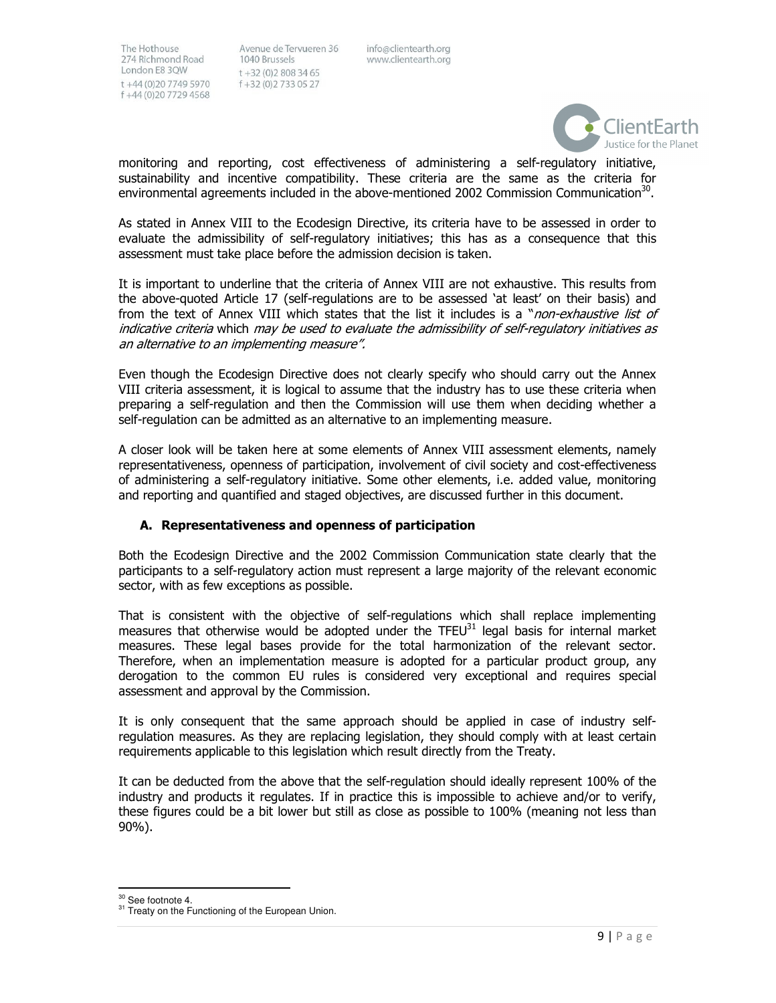Avenue de Tervueren 36 1040 Brussels  $t + 32(0)28083465$ f+32 (0)2733 05 27

info@clientearth.org www.clientearth.org



monitoring and reporting, cost effectiveness of administering a self-regulatory initiative, sustainability and incentive compatibility. These criteria are the same as the criteria for environmental agreements included in the above-mentioned 2002 Commission Communication<sup>30</sup>.

As stated in Annex VIII to the Ecodesign Directive, its criteria have to be assessed in order to evaluate the admissibility of self-regulatory initiatives; this has as a consequence that this assessment must take place before the admission decision is taken.

It is important to underline that the criteria of Annex VIII are not exhaustive. This results from the above-quoted Article 17 (self-regulations are to be assessed 'at least' on their basis) and from the text of Annex VIII which states that the list it includes is a "non-exhaustive list of indicative criteria which may be used to evaluate the admissibility of self-regulatory initiatives as an alternative to an implementing measure".

Even though the Ecodesign Directive does not clearly specify who should carry out the Annex VIII criteria assessment, it is logical to assume that the industry has to use these criteria when preparing a self-regulation and then the Commission will use them when deciding whether a self-regulation can be admitted as an alternative to an implementing measure.

A closer look will be taken here at some elements of Annex VIII assessment elements, namely representativeness, openness of participation, involvement of civil society and cost-effectiveness of administering a self-regulatory initiative. Some other elements, i.e. added value, monitoring and reporting and quantified and staged objectives, are discussed further in this document.

# A. Representativeness and openness of participation

Both the Ecodesign Directive and the 2002 Commission Communication state clearly that the participants to a self-regulatory action must represent a large majority of the relevant economic sector, with as few exceptions as possible.

That is consistent with the objective of self-regulations which shall replace implementing measures that otherwise would be adopted under the TFEU $^{31}$  legal basis for internal market measures. These legal bases provide for the total harmonization of the relevant sector. Therefore, when an implementation measure is adopted for a particular product group, any derogation to the common EU rules is considered very exceptional and requires special assessment and approval by the Commission.

It is only consequent that the same approach should be applied in case of industry selfregulation measures. As they are replacing legislation, they should comply with at least certain requirements applicable to this legislation which result directly from the Treaty.

It can be deducted from the above that the self-regulation should ideally represent 100% of the industry and products it regulates. If in practice this is impossible to achieve and/or to verify, these figures could be a bit lower but still as close as possible to 100% (meaning not less than 90%).

1 <sup>30</sup> See footnote 4.

<sup>&</sup>lt;sup>31</sup> Treaty on the Functioning of the European Union.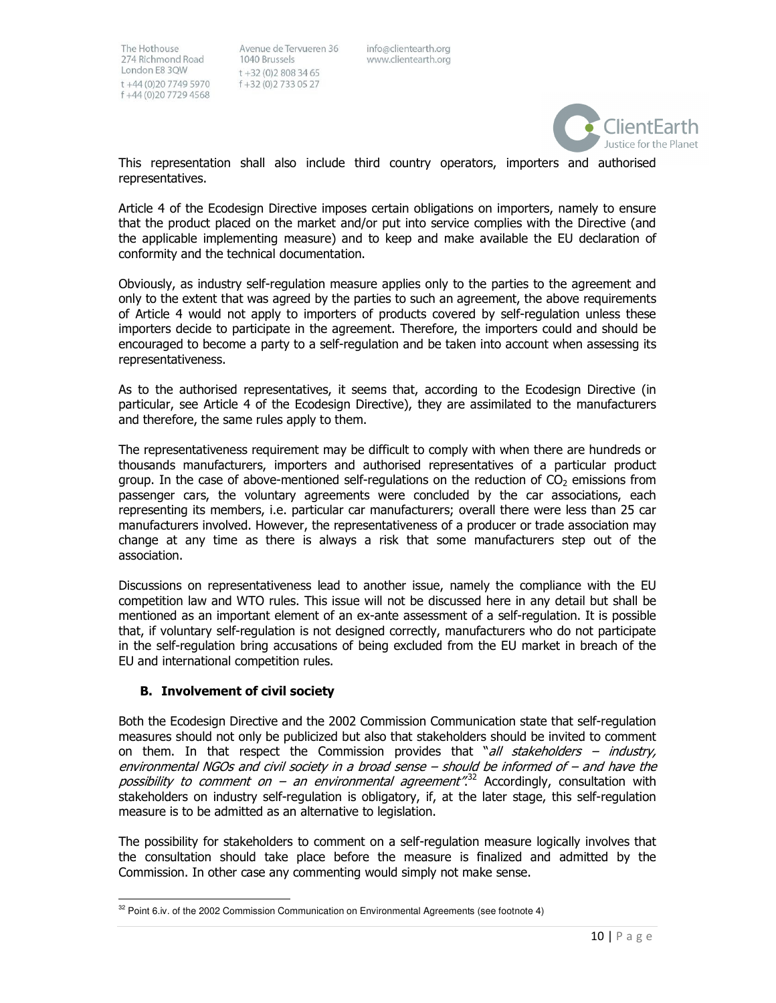Avenue de Tervueren 36 1040 Brussels  $t + 32(0)28083465$ f +32 (0) 2 7 3 3 0 5 2 7

info@clientearth.org www.clientearth.org



This representation shall also include third country operators, importers and authorised representatives.

Article 4 of the Ecodesign Directive imposes certain obligations on importers, namely to ensure that the product placed on the market and/or put into service complies with the Directive (and the applicable implementing measure) and to keep and make available the EU declaration of conformity and the technical documentation.

Obviously, as industry self-regulation measure applies only to the parties to the agreement and only to the extent that was agreed by the parties to such an agreement, the above requirements of Article 4 would not apply to importers of products covered by self-regulation unless these importers decide to participate in the agreement. Therefore, the importers could and should be encouraged to become a party to a self-regulation and be taken into account when assessing its representativeness.

As to the authorised representatives, it seems that, according to the Ecodesign Directive (in particular, see Article 4 of the Ecodesign Directive), they are assimilated to the manufacturers and therefore, the same rules apply to them.

The representativeness requirement may be difficult to comply with when there are hundreds or thousands manufacturers, importers and authorised representatives of a particular product group. In the case of above-mentioned self-regulations on the reduction of  $CO<sub>2</sub>$  emissions from passenger cars, the voluntary agreements were concluded by the car associations, each representing its members, i.e. particular car manufacturers; overall there were less than 25 car manufacturers involved. However, the representativeness of a producer or trade association may change at any time as there is always a risk that some manufacturers step out of the association.

Discussions on representativeness lead to another issue, namely the compliance with the EU competition law and WTO rules. This issue will not be discussed here in any detail but shall be mentioned as an important element of an ex-ante assessment of a self-regulation. It is possible that, if voluntary self-regulation is not designed correctly, manufacturers who do not participate in the self-regulation bring accusations of being excluded from the EU market in breach of the EU and international competition rules.

# B. Involvement of civil society

l,

Both the Ecodesign Directive and the 2002 Commission Communication state that self-regulation measures should not only be publicized but also that stakeholders should be invited to comment on them. In that respect the Commission provides that "all stakeholders – industry, environmental NGOs and civil society in a broad sense – should be informed of – and have the possibility to comment on – an environmental agreement".<sup>32</sup> Accordingly, consultation with stakeholders on industry self-regulation is obligatory, if, at the later stage, this self-regulation measure is to be admitted as an alternative to legislation.

The possibility for stakeholders to comment on a self-regulation measure logically involves that the consultation should take place before the measure is finalized and admitted by the Commission. In other case any commenting would simply not make sense.

 $32$  Point 6.iv. of the 2002 Commission Communication on Environmental Agreements (see footnote 4)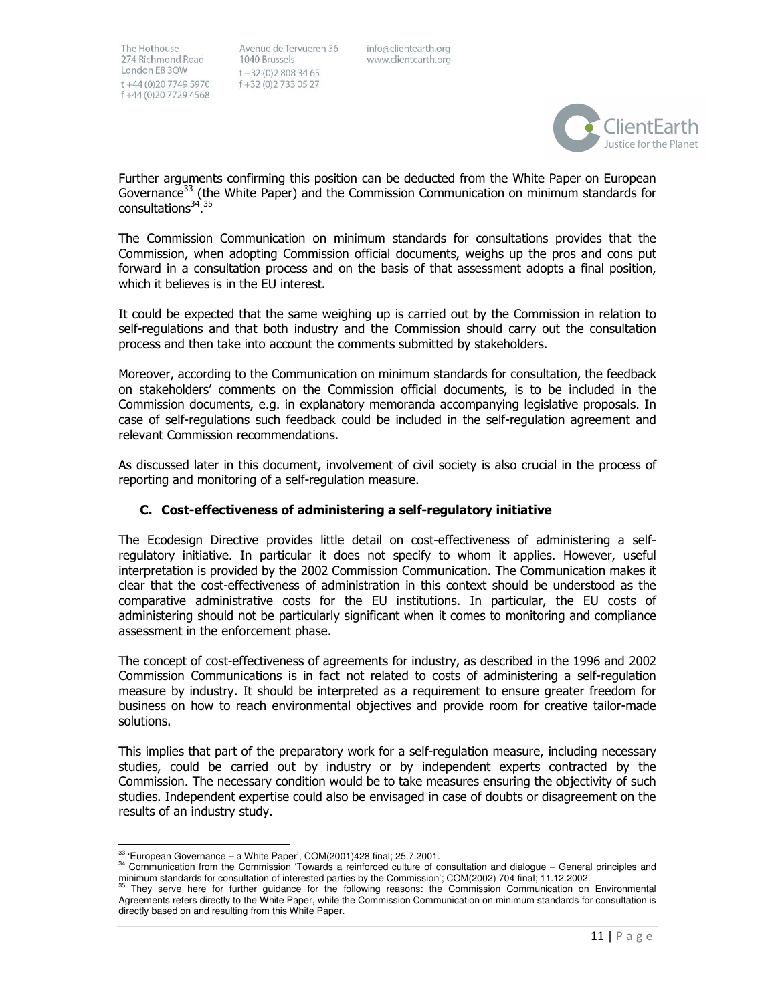Avenue de Tervueren 36 1040 Brussels  $t + 32(0)28083465$ f+32 (0)2733 05 27

info@clientearth.org www.clientearth.org



Further arguments confirming this position can be deducted from the White Paper on European Governance<sup>33</sup> (the White Paper) and the Commission Communication on minimum standards for consultations<sup>34-35</sup>

The Commission Communication on minimum standards for consultations provides that the Commission, when adopting Commission official documents, weighs up the pros and cons put forward in a consultation process and on the basis of that assessment adopts a final position, which it believes is in the EU interest.

It could be expected that the same weighing up is carried out by the Commission in relation to self-regulations and that both industry and the Commission should carry out the consultation process and then take into account the comments submitted by stakeholders.

Moreover, according to the Communication on minimum standards for consultation, the feedback on stakeholders' comments on the Commission official documents, is to be included in the Commission documents, e.g. in explanatory memoranda accompanying legislative proposals. In case of self-regulations such feedback could be included in the self-regulation agreement and relevant Commission recommendations.

As discussed later in this document, involvement of civil society is also crucial in the process of reporting and monitoring of a self-regulation measure.

# C. Cost-effectiveness of administering a self-regulatory initiative

The Ecodesign Directive provides little detail on cost-effectiveness of administering a selfregulatory initiative. In particular it does not specify to whom it applies. However, useful interpretation is provided by the 2002 Commission Communication. The Communication makes it clear that the cost-effectiveness of administration in this context should be understood as the comparative administrative costs for the EU institutions. In particular, the EU costs of administering should not be particularly significant when it comes to monitoring and compliance assessment in the enforcement phase.

The concept of cost-effectiveness of agreements for industry, as described in the 1996 and 2002 Commission Communications is in fact not related to costs of administering a self-regulation measure by industry. It should be interpreted as a requirement to ensure greater freedom for business on how to reach environmental objectives and provide room for creative tailor-made solutions.

This implies that part of the preparatory work for a self-regulation measure, including necessary studies, could be carried out by industry or by independent experts contracted by the Commission. The necessary condition would be to take measures ensuring the objectivity of such studies. Independent expertise could also be envisaged in case of doubts or disagreement on the results of an industry study.

l,  $33$  'European Governance – a White Paper', COM(2001)428 final; 25.7.2001.

<sup>34</sup> Communication from the Commission 'Towards a reinforced culture of consultation and dialogue – General principles and minimum standards for consultation of interested parties by the Commission'; COM(2002) 704 final; 11.12.2002.

They serve here for further guidance for the following reasons: the Commission Communication on Environmental Agreements refers directly to the White Paper, while the Commission Communication on minimum standards for consultation is directly based on and resulting from this White Paper.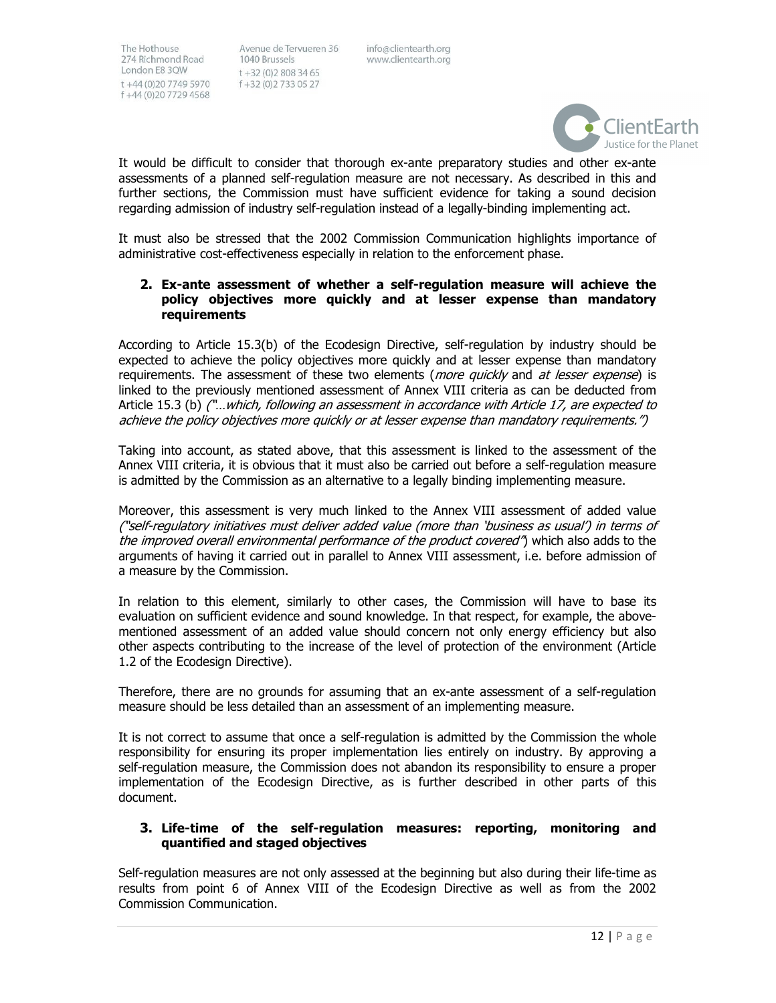Avenue de Tervueren 36 1040 Brussels  $t + 32(0)28083465$ f +32 (0) 2 733 05 27

info@clientearth.org www.clientearth.org



It would be difficult to consider that thorough ex-ante preparatory studies and other ex-ante assessments of a planned self-regulation measure are not necessary. As described in this and further sections, the Commission must have sufficient evidence for taking a sound decision regarding admission of industry self-regulation instead of a legally-binding implementing act.

It must also be stressed that the 2002 Commission Communication highlights importance of administrative cost-effectiveness especially in relation to the enforcement phase.

#### 2. Ex-ante assessment of whether a self-regulation measure will achieve the policy objectives more quickly and at lesser expense than mandatory requirements

According to Article 15.3(b) of the Ecodesign Directive, self-regulation by industry should be expected to achieve the policy objectives more quickly and at lesser expense than mandatory requirements. The assessment of these two elements (more quickly and at lesser expense) is linked to the previously mentioned assessment of Annex VIII criteria as can be deducted from Article 15.3 (b) ("...which, following an assessment in accordance with Article 17, are expected to achieve the policy objectives more quickly or at lesser expense than mandatory requirements.")

Taking into account, as stated above, that this assessment is linked to the assessment of the Annex VIII criteria, it is obvious that it must also be carried out before a self-regulation measure is admitted by the Commission as an alternative to a legally binding implementing measure.

Moreover, this assessment is very much linked to the Annex VIII assessment of added value ("self-regulatory initiatives must deliver added value (more than 'business as usual') in terms of the improved overall environmental performance of the product covered") which also adds to the arguments of having it carried out in parallel to Annex VIII assessment, i.e. before admission of a measure by the Commission.

In relation to this element, similarly to other cases, the Commission will have to base its evaluation on sufficient evidence and sound knowledge. In that respect, for example, the abovementioned assessment of an added value should concern not only energy efficiency but also other aspects contributing to the increase of the level of protection of the environment (Article 1.2 of the Ecodesign Directive).

Therefore, there are no grounds for assuming that an ex-ante assessment of a self-regulation measure should be less detailed than an assessment of an implementing measure.

It is not correct to assume that once a self-regulation is admitted by the Commission the whole responsibility for ensuring its proper implementation lies entirely on industry. By approving a self-regulation measure, the Commission does not abandon its responsibility to ensure a proper implementation of the Ecodesign Directive, as is further described in other parts of this document.

# 3. Life-time of the self-regulation measures: reporting, monitoring and quantified and staged objectives

Self-regulation measures are not only assessed at the beginning but also during their life-time as results from point 6 of Annex VIII of the Ecodesign Directive as well as from the 2002 Commission Communication.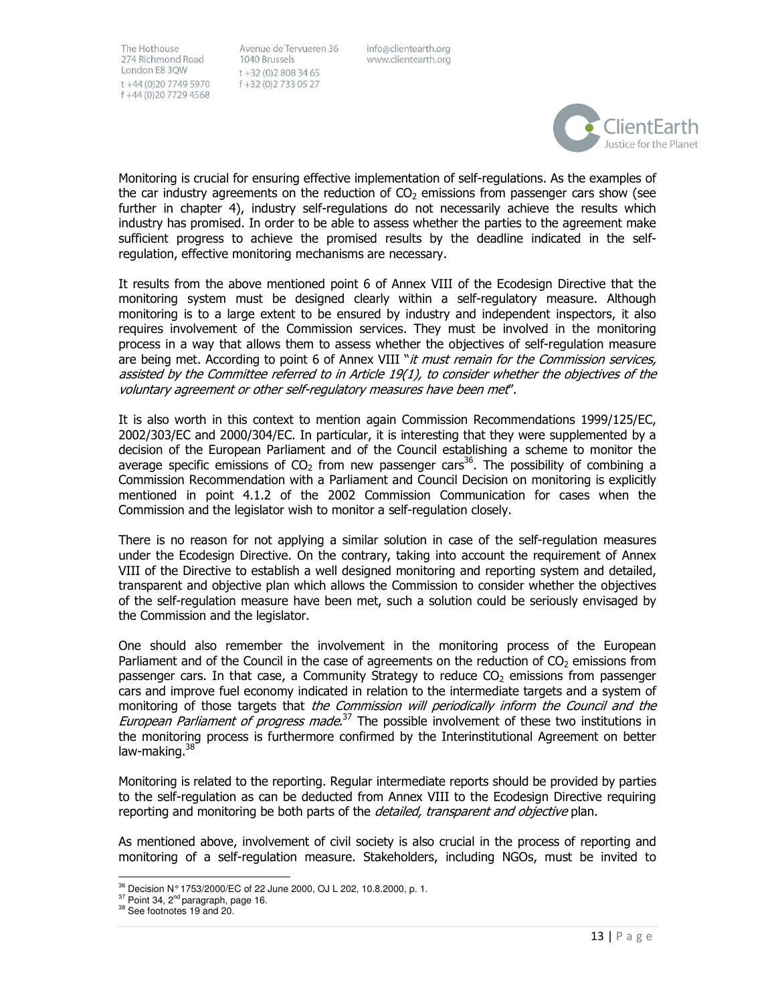Avenue de Tervueren 36 1040 Brussels  $t + 32(0)28083465$ f +32 (0) 2 7 3 3 0 5 2 7

info@clientearth.org www.clientearth.org



Monitoring is crucial for ensuring effective implementation of self-regulations. As the examples of the car industry agreements on the reduction of  $CO<sub>2</sub>$  emissions from passenger cars show (see further in chapter 4), industry self-regulations do not necessarily achieve the results which industry has promised. In order to be able to assess whether the parties to the agreement make sufficient progress to achieve the promised results by the deadline indicated in the selfregulation, effective monitoring mechanisms are necessary.

It results from the above mentioned point 6 of Annex VIII of the Ecodesign Directive that the monitoring system must be designed clearly within a self-regulatory measure. Although monitoring is to a large extent to be ensured by industry and independent inspectors, it also requires involvement of the Commission services. They must be involved in the monitoring process in a way that allows them to assess whether the objectives of self-regulation measure are being met. According to point 6 of Annex VIII "it must remain for the Commission services, assisted by the Committee referred to in Article 19(1), to consider whether the objectives of the voluntary agreement or other self-regulatory measures have been met".

It is also worth in this context to mention again Commission Recommendations 1999/125/EC, 2002/303/EC and 2000/304/EC. In particular, it is interesting that they were supplemented by a decision of the European Parliament and of the Council establishing a scheme to monitor the average specific emissions of  $CO<sub>2</sub>$  from new passenger cars<sup>36</sup>. The possibility of combining a Commission Recommendation with a Parliament and Council Decision on monitoring is explicitly mentioned in point 4.1.2 of the 2002 Commission Communication for cases when the Commission and the legislator wish to monitor a self-regulation closely.

There is no reason for not applying a similar solution in case of the self-regulation measures under the Ecodesign Directive. On the contrary, taking into account the requirement of Annex VIII of the Directive to establish a well designed monitoring and reporting system and detailed, transparent and objective plan which allows the Commission to consider whether the objectives of the self-regulation measure have been met, such a solution could be seriously envisaged by the Commission and the legislator.

One should also remember the involvement in the monitoring process of the European Parliament and of the Council in the case of agreements on the reduction of  $CO<sub>2</sub>$  emissions from passenger cars. In that case, a Community Strategy to reduce  $CO<sub>2</sub>$  emissions from passenger cars and improve fuel economy indicated in relation to the intermediate targets and a system of monitoring of those targets that the Commission will periodically inform the Council and the European Parliament of progress made.<sup>37</sup> The possible involvement of these two institutions in the monitoring process is furthermore confirmed by the Interinstitutional Agreement on better law-making.<sup>38</sup>

Monitoring is related to the reporting. Regular intermediate reports should be provided by parties to the self-regulation as can be deducted from Annex VIII to the Ecodesign Directive requiring reporting and monitoring be both parts of the detailed, transparent and objective plan.

As mentioned above, involvement of civil society is also crucial in the process of reporting and monitoring of a self-regulation measure. Stakeholders, including NGOs, must be invited to

l,

 $^{36}$  Decision N° 1753/2000/EC of 22 June 2000, OJ L 202, 10.8.2000, p. 1.

<sup>&</sup>lt;sup>37</sup> Point 34, 2<sup>nd</sup> paragraph, page 16.

<sup>&</sup>lt;sup>38</sup> See footnotes 19 and 20.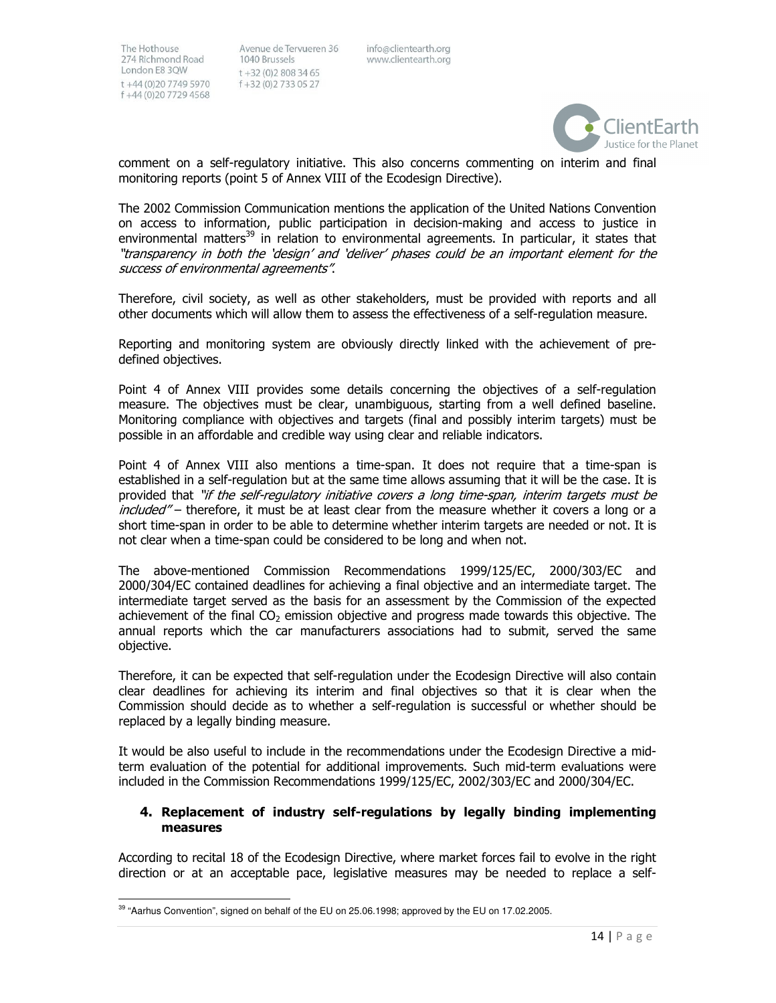l,

Avenue de Tervueren 36 1040 Brussels  $t + 32(0)28083465$ f +32 (0) 2 7 3 3 0 5 2 7

info@clientearth.org www.clientearth.org



comment on a self-regulatory initiative. This also concerns commenting on interim and final monitoring reports (point 5 of Annex VIII of the Ecodesign Directive).

The 2002 Commission Communication mentions the application of the United Nations Convention on access to information, public participation in decision-making and access to justice in environmental matters<sup>39</sup> in relation to environmental agreements. In particular, it states that "transparency in both the 'design' and 'deliver' phases could be an important element for the success of environmental agreements".

Therefore, civil society, as well as other stakeholders, must be provided with reports and all other documents which will allow them to assess the effectiveness of a self-regulation measure.

Reporting and monitoring system are obviously directly linked with the achievement of predefined objectives.

Point 4 of Annex VIII provides some details concerning the objectives of a self-regulation measure. The objectives must be clear, unambiguous, starting from a well defined baseline. Monitoring compliance with objectives and targets (final and possibly interim targets) must be possible in an affordable and credible way using clear and reliable indicators.

Point 4 of Annex VIII also mentions a time-span. It does not require that a time-span is established in a self-regulation but at the same time allows assuming that it will be the case. It is provided that "if the self-regulatory initiative covers a long time-span, interim targets must be included" – therefore, it must be at least clear from the measure whether it covers a long or a short time-span in order to be able to determine whether interim targets are needed or not. It is not clear when a time-span could be considered to be long and when not.

The above-mentioned Commission Recommendations 1999/125/EC, 2000/303/EC and 2000/304/EC contained deadlines for achieving a final objective and an intermediate target. The intermediate target served as the basis for an assessment by the Commission of the expected achievement of the final  $CO<sub>2</sub>$  emission objective and progress made towards this objective. The annual reports which the car manufacturers associations had to submit, served the same objective.

Therefore, it can be expected that self-regulation under the Ecodesign Directive will also contain clear deadlines for achieving its interim and final objectives so that it is clear when the Commission should decide as to whether a self-regulation is successful or whether should be replaced by a legally binding measure.

It would be also useful to include in the recommendations under the Ecodesign Directive a midterm evaluation of the potential for additional improvements. Such mid-term evaluations were included in the Commission Recommendations 1999/125/EC, 2002/303/EC and 2000/304/EC.

# 4. Replacement of industry self-regulations by legally binding implementing measures

According to recital 18 of the Ecodesign Directive, where market forces fail to evolve in the right direction or at an acceptable pace, legislative measures may be needed to replace a self-

 $39$  "Aarhus Convention", signed on behalf of the EU on 25.06.1998; approved by the EU on 17.02.2005.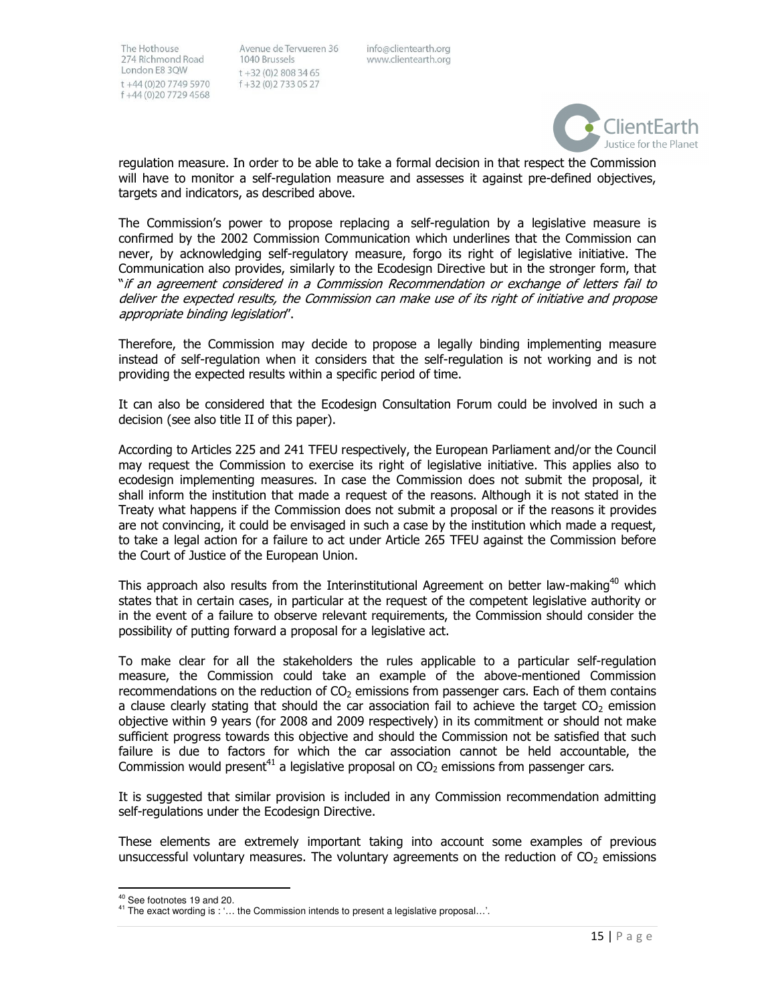Avenue de Tervueren 36 1040 Brussels  $t + 32(0)28083465$ f+32 (0)2733 05 27

info@clientearth.org www.clientearth.org



regulation measure. In order to be able to take a formal decision in that respect the Commission will have to monitor a self-regulation measure and assesses it against pre-defined objectives, targets and indicators, as described above.

The Commission's power to propose replacing a self-regulation by a legislative measure is confirmed by the 2002 Commission Communication which underlines that the Commission can never, by acknowledging self-regulatory measure, forgo its right of legislative initiative. The Communication also provides, similarly to the Ecodesign Directive but in the stronger form, that "if an agreement considered in a Commission Recommendation or exchange of letters fail to deliver the expected results, the Commission can make use of its right of initiative and propose appropriate binding legislation".

Therefore, the Commission may decide to propose a legally binding implementing measure instead of self-regulation when it considers that the self-regulation is not working and is not providing the expected results within a specific period of time.

It can also be considered that the Ecodesign Consultation Forum could be involved in such a decision (see also title II of this paper).

According to Articles 225 and 241 TFEU respectively, the European Parliament and/or the Council may request the Commission to exercise its right of legislative initiative. This applies also to ecodesign implementing measures. In case the Commission does not submit the proposal, it shall inform the institution that made a request of the reasons. Although it is not stated in the Treaty what happens if the Commission does not submit a proposal or if the reasons it provides are not convincing, it could be envisaged in such a case by the institution which made a request, to take a legal action for a failure to act under Article 265 TFEU against the Commission before the Court of Justice of the European Union.

This approach also results from the Interinstitutional Agreement on better law-making<sup>40</sup> which states that in certain cases, in particular at the request of the competent legislative authority or in the event of a failure to observe relevant requirements, the Commission should consider the possibility of putting forward a proposal for a legislative act.

To make clear for all the stakeholders the rules applicable to a particular self-regulation measure, the Commission could take an example of the above-mentioned Commission recommendations on the reduction of  $CO<sub>2</sub>$  emissions from passenger cars. Each of them contains a clause clearly stating that should the car association fail to achieve the target  $CO<sub>2</sub>$  emission objective within 9 years (for 2008 and 2009 respectively) in its commitment or should not make sufficient progress towards this objective and should the Commission not be satisfied that such failure is due to factors for which the car association cannot be held accountable, the Commission would present<sup>41</sup> a legislative proposal on  $CO<sub>2</sub>$  emissions from passenger cars.

It is suggested that similar provision is included in any Commission recommendation admitting self-regulations under the Ecodesign Directive.

These elements are extremely important taking into account some examples of previous unsuccessful voluntary measures. The voluntary agreements on the reduction of  $CO<sub>2</sub>$  emissions

1

<sup>&</sup>lt;sup>40</sup> See footnotes 19 and 20.

<sup>&</sup>lt;sup>41</sup> The exact wording is : '... the Commission intends to present a legislative proposal...'.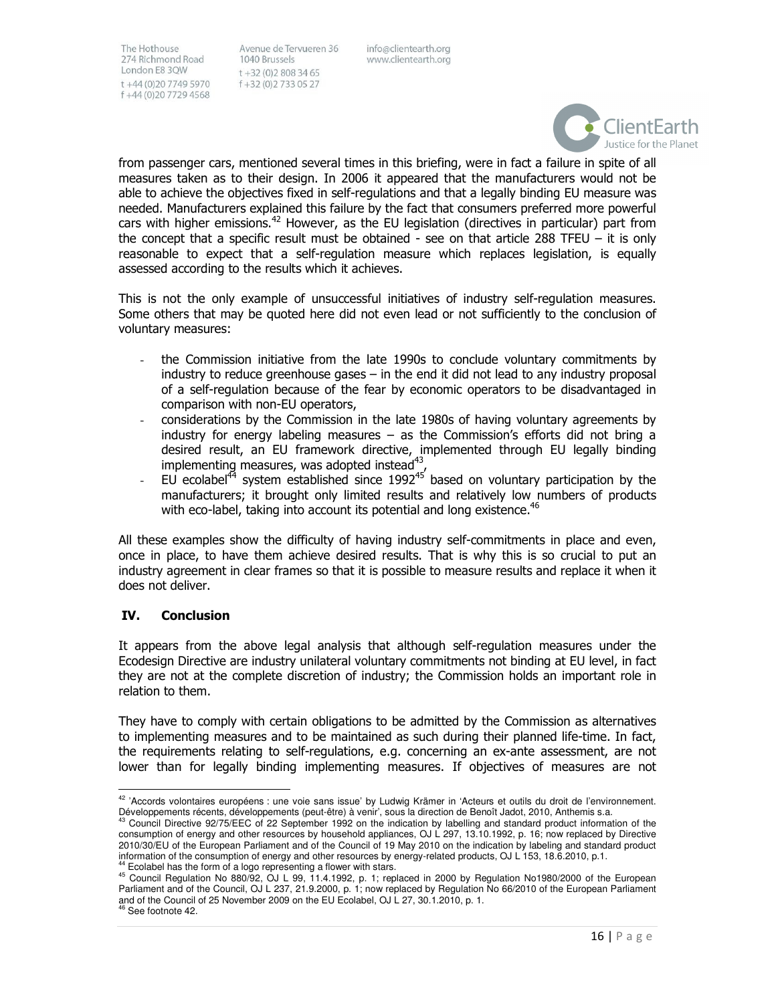Avenue de Tervueren 36 1040 Brussels  $t + 32(0)28083465$ f+32 (0)2733 05 27

info@clientearth.org www.clientearth.org



from passenger cars, mentioned several times in this briefing, were in fact a failure in spite of all measures taken as to their design. In 2006 it appeared that the manufacturers would not be able to achieve the objectives fixed in self-regulations and that a legally binding EU measure was needed. Manufacturers explained this failure by the fact that consumers preferred more powerful cars with higher emissions.<sup>42</sup> However, as the EU legislation (directives in particular) part from the concept that a specific result must be obtained - see on that article 288 TFEU  $-$  it is only reasonable to expect that a self-regulation measure which replaces legislation, is equally assessed according to the results which it achieves.

This is not the only example of unsuccessful initiatives of industry self-regulation measures. Some others that may be quoted here did not even lead or not sufficiently to the conclusion of voluntary measures:

- the Commission initiative from the late 1990s to conclude voluntary commitments by industry to reduce greenhouse gases – in the end it did not lead to any industry proposal of a self-regulation because of the fear by economic operators to be disadvantaged in comparison with non-EU operators,
- considerations by the Commission in the late 1980s of having voluntary agreements by industry for energy labeling measures – as the Commission's efforts did not bring a desired result, an EU framework directive, implemented through EU legally binding implementing measures, was adopted instead $43$ ,
- EU ecolabel<sup>44</sup> system established since  $1992^{45}$  based on voluntary participation by the manufacturers; it brought only limited results and relatively low numbers of products with eco-label, taking into account its potential and long existence.<sup>46</sup>

All these examples show the difficulty of having industry self-commitments in place and even, once in place, to have them achieve desired results. That is why this is so crucial to put an industry agreement in clear frames so that it is possible to measure results and replace it when it does not deliver.

# IV. Conclusion

It appears from the above legal analysis that although self-regulation measures under the Ecodesign Directive are industry unilateral voluntary commitments not binding at EU level, in fact they are not at the complete discretion of industry; the Commission holds an important role in relation to them.

They have to comply with certain obligations to be admitted by the Commission as alternatives to implementing measures and to be maintained as such during their planned life-time. In fact, the requirements relating to self-regulations, e.g. concerning an ex-ante assessment, are not lower than for legally binding implementing measures. If objectives of measures are not

l,

<sup>&</sup>lt;sup>42</sup> 'Accords volontaires européens : une voie sans issue' by Ludwig Krämer in 'Acteurs et outils du droit de l'environnement. Développements récents, développements (peut-être) à venir', sous la direction de Benoît Jadot, 2010, Anthemis s.a.

<sup>43</sup> Council Directive 92/75/EEC of 22 September 1992 on the indication by labelling and standard product information of the consumption of energy and other resources by household appliances, OJ L 297, 13.10.1992, p. 16; now replaced by Directive 2010/30/EU of the European Parliament and of the Council of 19 May 2010 on the indication by labeling and standard product information of the consumption of energy and other resources by energy-related products, OJ L 153, 18.6.2010, p.1. <sup>44</sup> Ecolabel has the form of a logo representing a flower with stars.

<sup>45</sup> Council Regulation No 880/92, OJ L 99, 11.4.1992, p. 1; replaced in 2000 by Regulation No1980/2000 of the European Parliament and of the Council, OJ L 237, 21.9.2000, p. 1; now replaced by Regulation No 66/2010 of the European Parliament and of the Council of 25 November 2009 on the EU Ecolabel, OJ L 27, 30.1.2010, p. 1.